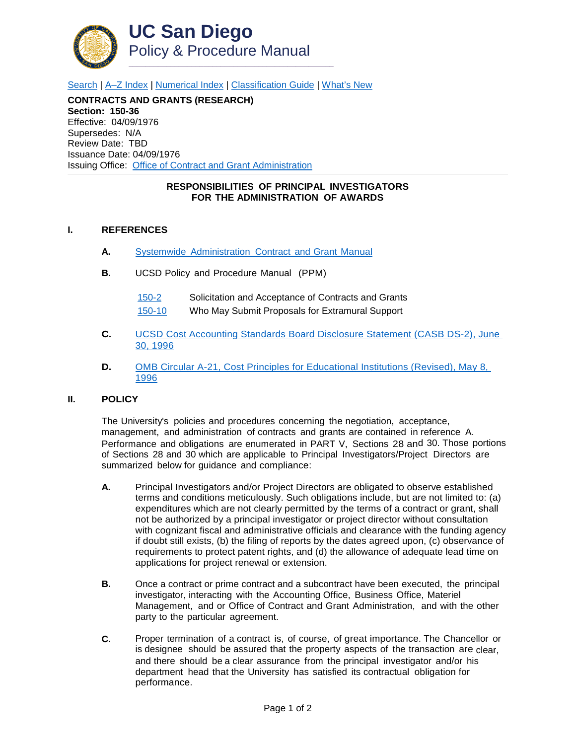

[Search](http://adminrecords.ucsd.edu/ppm/index.html) | [A–Z Index](http://adminrecords.ucsd.edu/ppm/ppmindex.html) | [Numerical Index](http://adminrecords.ucsd.edu/ppm/numerical.html) | [Classification Guide](http://adminrecords.ucsd.edu/ppm/alphabetical.html) | [What's New](http://adminrecords.ucsd.edu/ppm/whatsnew.html)

**CONTRACTS AND GRANTS (RESEARCH) Section: 150-36** Effective: 04/09/1976 Supersedes: N/A Review Date: TBD Issuance Date: 04/09/1976 Issuing Office:[Office of Contract and Grant Administration](http://blink.ucsd.edu/sponsor/ocga/index.html)

## **RESPONSIBILITIES OF PRINCIPAL INVESTIGATORS FOR THE ADMINISTRATION OF AWARDS**

## **I. REFERENCES**

- **A.** Systemwide [Administration](http://www.ucop.edu/research-policy-analysis-coordination/resources-tools/contract-and-grant-manual/index.html) Contract and Grant Manual
- **B.** UCSD Policy and Procedure Manual (PPM)
	- [150-2](http://adminrecords.ucsd.edu/PPM/docs/150-2.HTML) Solicitation and Acceptance of Contracts and Grants
	- [150-10](http://adminrecords.ucsd.edu/PPM/docs/150-10.HTML) Who May Submit Proposals for Extramural Support
- **C.** [UCSD Cost Accounting Standards Board Disclosure Statement \(CASB DS-2\), June](http://www.whitehouse.gov/sites/default/files/omb/procurement/casb_ds-2.pdf)  [30, 1996](http://www.whitehouse.gov/sites/default/files/omb/procurement/casb_ds-2.pdf)
- **D.** [OMB Circular A-21, Cost Principles for Educational Institutions \(Revised\), May 8,](http://www.whitehouse.gov/omb/circulars_a021_2004)  [1996](http://www.whitehouse.gov/omb/circulars_a021_2004)

## **II. POLICY**

The University's policies and procedures concerning the negotiation, acceptance, management, and administration of contracts and grants are contained in reference A. Performance and obligations are enumerated in PART V, Sections 28 and 30. Those portions of Sections 28 and 30 which are applicable to Principal Investigators/Project Directors are summarized below for guidance and compliance:

- **A.** Principal Investigators and/or Project Directors are obligated to observe established terms and conditions meticulously. Such obligations include, but are not limited to: (a) expenditures which are not clearly permitted by the terms of a contract or grant, shall not be authorized by a principal investigator or project director without consultation with cognizant fiscal and administrative officials and clearance with the funding agency if doubt still exists, (b) the filing of reports by the dates agreed upon, (c) observance of requirements to protect patent rights, and (d) the allowance of adequate lead time on applications for project renewal or extension.
- **B.** Once a contract or prime contract and a subcontract have been executed, the principal investigator, interacting with the Accounting Office, Business Office, Materiel Management, and or Office of Contract and Grant Administration, and with the other party to the particular agreement.
- **C.** Proper termination of a contract is, of course, of great importance. The Chancellor or is designee should be assured that the property aspects of the transaction are clear, and there should be a clear assurance from the principal investigator and/or his department head that the University has satisfied its contractual obligation for performance.